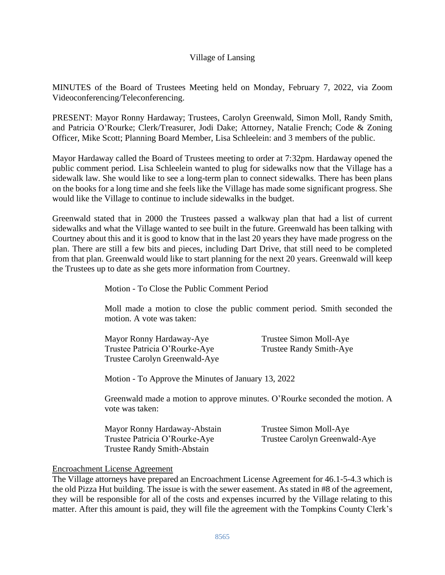# Village of Lansing

MINUTES of the Board of Trustees Meeting held on Monday, February 7, 2022, via Zoom Videoconferencing/Teleconferencing.

PRESENT: Mayor Ronny Hardaway; Trustees, Carolyn Greenwald, Simon Moll, Randy Smith, and Patricia O'Rourke; Clerk/Treasurer, Jodi Dake; Attorney, Natalie French; Code & Zoning Officer, Mike Scott; Planning Board Member, Lisa Schleelein: and 3 members of the public.

Mayor Hardaway called the Board of Trustees meeting to order at 7:32pm. Hardaway opened the public comment period. Lisa Schleelein wanted to plug for sidewalks now that the Village has a sidewalk law. She would like to see a long-term plan to connect sidewalks. There has been plans on the books for a long time and she feels like the Village has made some significant progress. She would like the Village to continue to include sidewalks in the budget.

Greenwald stated that in 2000 the Trustees passed a walkway plan that had a list of current sidewalks and what the Village wanted to see built in the future. Greenwald has been talking with Courtney about this and it is good to know that in the last 20 years they have made progress on the plan. There are still a few bits and pieces, including Dart Drive, that still need to be completed from that plan. Greenwald would like to start planning for the next 20 years. Greenwald will keep the Trustees up to date as she gets more information from Courtney.

Motion - To Close the Public Comment Period

Moll made a motion to close the public comment period. Smith seconded the motion. A vote was taken:

| Mayor Ronny Hardaway-Aye      | Trustee Simon Moll-Aye  |
|-------------------------------|-------------------------|
| Trustee Patricia O'Rourke-Aye | Trustee Randy Smith-Aye |
| Trustee Carolyn Greenwald-Aye |                         |

Motion - To Approve the Minutes of January 13, 2022

Greenwald made a motion to approve minutes. O'Rourke seconded the motion. A vote was taken:

| Mayor Ronny Hardaway-Abstain       | Trustee Simon Moll-Aye        |
|------------------------------------|-------------------------------|
| Trustee Patricia O'Rourke-Aye      | Trustee Carolyn Greenwald-Aye |
| <b>Trustee Randy Smith-Abstain</b> |                               |

## Encroachment License Agreement

The Village attorneys have prepared an Encroachment License Agreement for 46.1-5-4.3 which is the old Pizza Hut building. The issue is with the sewer easement. As stated in #8 of the agreement, they will be responsible for all of the costs and expenses incurred by the Village relating to this matter. After this amount is paid, they will file the agreement with the Tompkins County Clerk's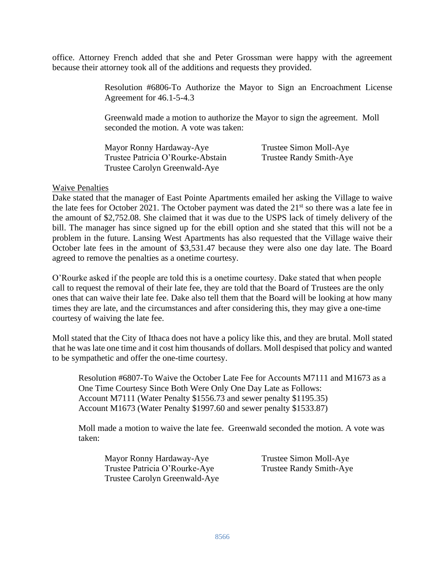office. Attorney French added that she and Peter Grossman were happy with the agreement because their attorney took all of the additions and requests they provided.

> Resolution #6806-To Authorize the Mayor to Sign an Encroachment License Agreement for 46.1-5-4.3

Greenwald made a motion to authorize the Mayor to sign the agreement. Moll seconded the motion. A vote was taken:

| Mayor Ronny Hardaway-Aye          | Trustee Simon Moll-Aye  |
|-----------------------------------|-------------------------|
| Trustee Patricia O'Rourke-Abstain | Trustee Randy Smith-Aye |
| Trustee Carolyn Greenwald-Aye     |                         |

## Waive Penalties

Dake stated that the manager of East Pointe Apartments emailed her asking the Village to waive the late fees for October 2021. The October payment was dated the  $21<sup>st</sup>$  so there was a late fee in the amount of \$2,752.08. She claimed that it was due to the USPS lack of timely delivery of the bill. The manager has since signed up for the ebill option and she stated that this will not be a problem in the future. Lansing West Apartments has also requested that the Village waive their October late fees in the amount of \$3,531.47 because they were also one day late. The Board agreed to remove the penalties as a onetime courtesy.

O'Rourke asked if the people are told this is a onetime courtesy. Dake stated that when people call to request the removal of their late fee, they are told that the Board of Trustees are the only ones that can waive their late fee. Dake also tell them that the Board will be looking at how many times they are late, and the circumstances and after considering this, they may give a one-time courtesy of waiving the late fee.

Moll stated that the City of Ithaca does not have a policy like this, and they are brutal. Moll stated that he was late one time and it cost him thousands of dollars. Moll despised that policy and wanted to be sympathetic and offer the one-time courtesy.

Resolution #6807-To Waive the October Late Fee for Accounts M7111 and M1673 as a One Time Courtesy Since Both Were Only One Day Late as Follows: Account M7111 (Water Penalty \$1556.73 and sewer penalty \$1195.35) Account M1673 (Water Penalty \$1997.60 and sewer penalty \$1533.87)

Moll made a motion to waive the late fee. Greenwald seconded the motion. A vote was taken:

Mayor Ronny Hardaway-Aye Trustee Simon Moll-Aye Trustee Patricia O'Rourke-Aye Trustee Randy Smith-Aye Trustee Carolyn Greenwald-Aye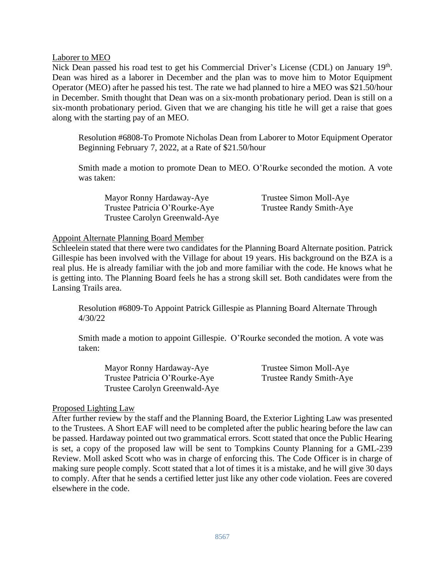Laborer to MEO

Nick Dean passed his road test to get his Commercial Driver's License (CDL) on January 19<sup>th</sup>. Dean was hired as a laborer in December and the plan was to move him to Motor Equipment Operator (MEO) after he passed his test. The rate we had planned to hire a MEO was \$21.50/hour in December. Smith thought that Dean was on a six-month probationary period. Dean is still on a six-month probationary period. Given that we are changing his title he will get a raise that goes along with the starting pay of an MEO.

Resolution #6808-To Promote Nicholas Dean from Laborer to Motor Equipment Operator Beginning February 7, 2022, at a Rate of \$21.50/hour

Smith made a motion to promote Dean to MEO. O'Rourke seconded the motion. A vote was taken:

Mayor Ronny Hardaway-Aye Trustee Simon Moll-Aye Trustee Patricia O'Rourke-Aye Trustee Randy Smith-Aye Trustee Carolyn Greenwald-Aye

### Appoint Alternate Planning Board Member

Schleelein stated that there were two candidates for the Planning Board Alternate position. Patrick Gillespie has been involved with the Village for about 19 years. His background on the BZA is a real plus. He is already familiar with the job and more familiar with the code. He knows what he is getting into. The Planning Board feels he has a strong skill set. Both candidates were from the Lansing Trails area.

Resolution #6809-To Appoint Patrick Gillespie as Planning Board Alternate Through 4/30/22

Smith made a motion to appoint Gillespie. O'Rourke seconded the motion. A vote was taken:

Mayor Ronny Hardaway-Aye Trustee Simon Moll-Aye Trustee Patricia O'Rourke-Aye Trustee Randy Smith-Aye Trustee Carolyn Greenwald-Aye

#### Proposed Lighting Law

After further review by the staff and the Planning Board, the Exterior Lighting Law was presented to the Trustees. A Short EAF will need to be completed after the public hearing before the law can be passed. Hardaway pointed out two grammatical errors. Scott stated that once the Public Hearing is set, a copy of the proposed law will be sent to Tompkins County Planning for a GML-239 Review. Moll asked Scott who was in charge of enforcing this. The Code Officer is in charge of making sure people comply. Scott stated that a lot of times it is a mistake, and he will give 30 days to comply. After that he sends a certified letter just like any other code violation. Fees are covered elsewhere in the code.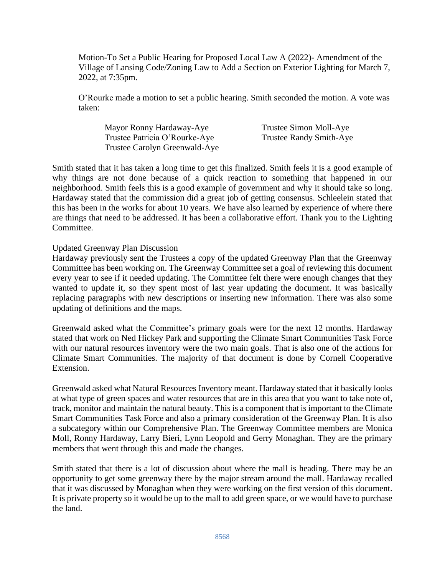Motion-To Set a Public Hearing for Proposed Local Law A (2022)- Amendment of the Village of Lansing Code/Zoning Law to Add a Section on Exterior Lighting for March 7, 2022, at 7:35pm.

O'Rourke made a motion to set a public hearing. Smith seconded the motion. A vote was taken:

| Mayor Ronny Hardaway-Aye      | Trustee Simon Moll-Aye         |
|-------------------------------|--------------------------------|
| Trustee Patricia O'Rourke-Aye | <b>Trustee Randy Smith-Aye</b> |
| Trustee Carolyn Greenwald-Aye |                                |

Smith stated that it has taken a long time to get this finalized. Smith feels it is a good example of why things are not done because of a quick reaction to something that happened in our neighborhood. Smith feels this is a good example of government and why it should take so long. Hardaway stated that the commission did a great job of getting consensus. Schleelein stated that this has been in the works for about 10 years. We have also learned by experience of where there are things that need to be addressed. It has been a collaborative effort. Thank you to the Lighting Committee.

## Updated Greenway Plan Discussion

Hardaway previously sent the Trustees a copy of the updated Greenway Plan that the Greenway Committee has been working on. The Greenway Committee set a goal of reviewing this document every year to see if it needed updating. The Committee felt there were enough changes that they wanted to update it, so they spent most of last year updating the document. It was basically replacing paragraphs with new descriptions or inserting new information. There was also some updating of definitions and the maps.

Greenwald asked what the Committee's primary goals were for the next 12 months. Hardaway stated that work on Ned Hickey Park and supporting the Climate Smart Communities Task Force with our natural resources inventory were the two main goals. That is also one of the actions for Climate Smart Communities. The majority of that document is done by Cornell Cooperative Extension.

Greenwald asked what Natural Resources Inventory meant. Hardaway stated that it basically looks at what type of green spaces and water resources that are in this area that you want to take note of, track, monitor and maintain the natural beauty. This is a component that is important to the Climate Smart Communities Task Force and also a primary consideration of the Greenway Plan. It is also a subcategory within our Comprehensive Plan. The Greenway Committee members are Monica Moll, Ronny Hardaway, Larry Bieri, Lynn Leopold and Gerry Monaghan. They are the primary members that went through this and made the changes.

Smith stated that there is a lot of discussion about where the mall is heading. There may be an opportunity to get some greenway there by the major stream around the mall. Hardaway recalled that it was discussed by Monaghan when they were working on the first version of this document. It is private property so it would be up to the mall to add green space, or we would have to purchase the land.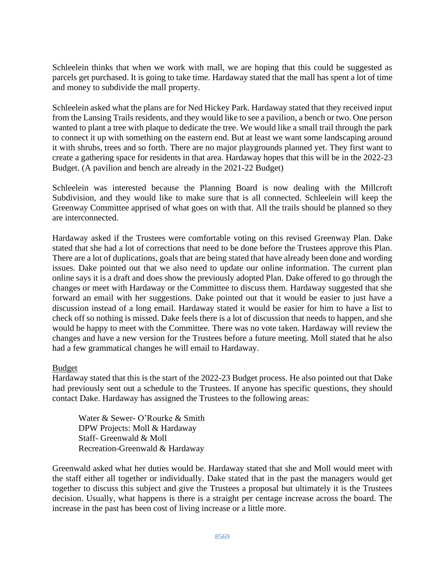Schleelein thinks that when we work with mall, we are hoping that this could be suggested as parcels get purchased. It is going to take time. Hardaway stated that the mall has spent a lot of time and money to subdivide the mall property.

Schleelein asked what the plans are for Ned Hickey Park. Hardaway stated that they received input from the Lansing Trails residents, and they would like to see a pavilion, a bench or two. One person wanted to plant a tree with plaque to dedicate the tree. We would like a small trail through the park to connect it up with something on the eastern end. But at least we want some landscaping around it with shrubs, trees and so forth. There are no major playgrounds planned yet. They first want to create a gathering space for residents in that area. Hardaway hopes that this will be in the 2022-23 Budget. (A pavilion and bench are already in the 2021-22 Budget)

Schleelein was interested because the Planning Board is now dealing with the Millcroft Subdivision, and they would like to make sure that is all connected. Schleelein will keep the Greenway Committee apprised of what goes on with that. All the trails should be planned so they are interconnected.

Hardaway asked if the Trustees were comfortable voting on this revised Greenway Plan. Dake stated that she had a lot of corrections that need to be done before the Trustees approve this Plan. There are a lot of duplications, goals that are being stated that have already been done and wording issues. Dake pointed out that we also need to update our online information. The current plan online says it is a draft and does show the previously adopted Plan. Dake offered to go through the changes or meet with Hardaway or the Committee to discuss them. Hardaway suggested that she forward an email with her suggestions. Dake pointed out that it would be easier to just have a discussion instead of a long email. Hardaway stated it would be easier for him to have a list to check off so nothing is missed. Dake feels there is a lot of discussion that needs to happen, and she would be happy to meet with the Committee. There was no vote taken. Hardaway will review the changes and have a new version for the Trustees before a future meeting. Moll stated that he also had a few grammatical changes he will email to Hardaway.

## Budget

Hardaway stated that this is the start of the 2022-23 Budget process. He also pointed out that Dake had previously sent out a schedule to the Trustees. If anyone has specific questions, they should contact Dake. Hardaway has assigned the Trustees to the following areas:

Water & Sewer- O'Rourke & Smith DPW Projects: Moll & Hardaway Staff- Greenwald & Moll Recreation-Greenwald & Hardaway

Greenwald asked what her duties would be. Hardaway stated that she and Moll would meet with the staff either all together or individually. Dake stated that in the past the managers would get together to discuss this subject and give the Trustees a proposal but ultimately it is the Trustees decision. Usually, what happens is there is a straight per centage increase across the board. The increase in the past has been cost of living increase or a little more.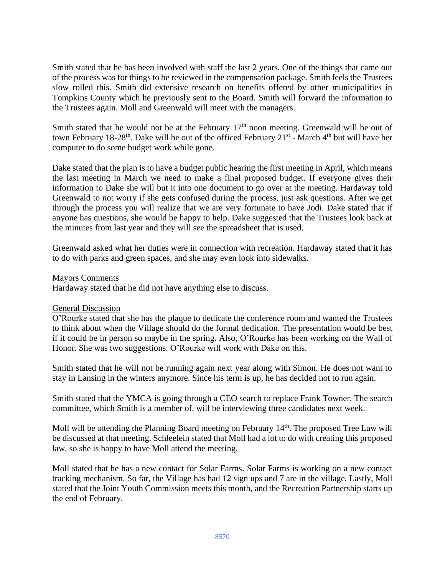Smith stated that he has been involved with staff the last 2 years. One of the things that came out of the process was for things to be reviewed in the compensation package. Smith feels the Trustees slow rolled this. Smith did extensive research on benefits offered by other municipalities in Tompkins County which he previously sent to the Board. Smith will forward the information to the Trustees again. Moll and Greenwald will meet with the managers.

Smith stated that he would not be at the February  $17<sup>th</sup>$  noon meeting. Greenwald will be out of town February 18-28<sup>th</sup>. Dake will be out of the officed February 21<sup>st</sup> - March 4<sup>th</sup> but will have her computer to do some budget work while gone.

Dake stated that the plan is to have a budget public hearing the first meeting in April, which means the last meeting in March we need to make a final proposed budget. If everyone gives their information to Dake she will but it into one document to go over at the meeting. Hardaway told Greenwald to not worry if she gets confused during the process, just ask questions. After we get through the process you will realize that we are very fortunate to have Jodi. Dake stated that if anyone has questions, she would be happy to help. Dake suggested that the Trustees look back at the minutes from last year and they will see the spreadsheet that is used.

Greenwald asked what her duties were in connection with recreation. Hardaway stated that it has to do with parks and green spaces, and she may even look into sidewalks.

## Mayors Comments

Hardaway stated that he did not have anything else to discuss.

## General Discussion

O'Rourke stated that she has the plaque to dedicate the conference room and wanted the Trustees to think about when the Village should do the formal dedication. The presentation would be best if it could be in person so maybe in the spring. Also, O'Rourke has been working on the Wall of Honor. She was two suggestions. O'Rourke will work with Dake on this.

Smith stated that he will not be running again next year along with Simon. He does not want to stay in Lansing in the winters anymore. Since his term is up, he has decided not to run again.

Smith stated that the YMCA is going through a CEO search to replace Frank Towner. The search committee, which Smith is a member of, will be interviewing three candidates next week.

Moll will be attending the Planning Board meeting on February 14<sup>th</sup>. The proposed Tree Law will be discussed at that meeting. Schleelein stated that Moll had a lot to do with creating this proposed law, so she is happy to have Moll attend the meeting.

Moll stated that he has a new contact for Solar Farms. Solar Farms is working on a new contact tracking mechanism. So far, the Village has had 12 sign ups and 7 are in the village. Lastly, Moll stated that the Joint Youth Commission meets this month, and the Recreation Partnership starts up the end of February.